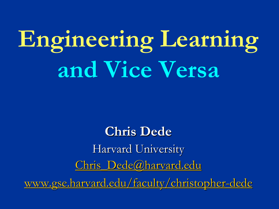# **Engineering Learning and Vice Versa**

**Chris Dede** Harvard University Chris Dede@harvard.edu [www.gse.harvard.edu/faculty/christopher-dede](http://www.gse.harvard.edu/faculty/christopher-dede)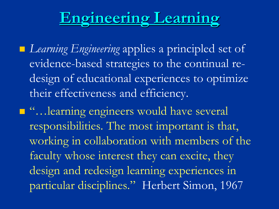

 *Learning Engineering* applies a principled set of evidence-based strategies to the continual redesign of educational experiences to optimize their effectiveness and efficiency.

**E** "...learning engineers would have several responsibilities. The most important is that, working in collaboration with members of the faculty whose interest they can excite, they design and redesign learning experiences in particular disciplines." Herbert Simon, 1967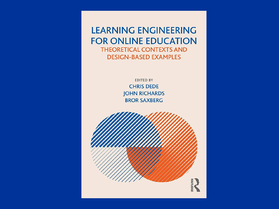**LEARNING ENGINEERING FOR ONLINE EDUCATION THEORETICAL CONTEXTS AND DESIGN-BASED EXAMPLES** 

> **EDITED BY CHRIS DEDE JOHN RICHARDS BROR SAXBERG**

> > ROUTIED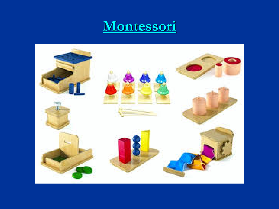## **Montessori**

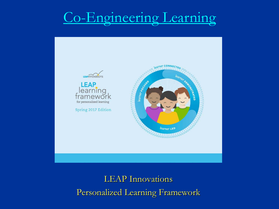## Co-Engineering Learning



LEAP Innovations Personalized Learning Framework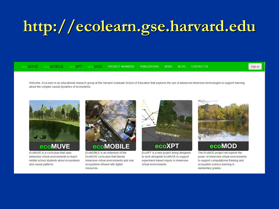## http://ecolearn.gse.harvard.edu

**MUVE MOBILE** 

**XPT MOD**  PROJECT MEMBERS PUBLICATIONS

BLOG. **CONTACT US**  Sign in

Welcome. EcoLearn is an educational research group at the Harvard Graduate School of Education that explores the use of advanced immersive technologies to support learning about the complex causal dynamics of ecosystems.



ecoMUVE

ECOMUVE is a curriculum that uses immersive virtual environments to teach middle school students about ecosystems and causal patterns.



ECOMOBILE is an extension of the EcoMUVE curriculum that blends immersive virtual environments and real ecosystems infused with digital resources.



**NFWS** 

EcoXPT is a new project being designed to work alongside EcoMUVE to support experiment-based inquiry in immersive virtual environments.



#### ecoMOD

The EcoMOD project will explore the power of immersive virtual environments to support computational thinking and ecosystem science learning in elementary grades.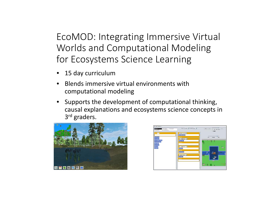EcoMOD: Integrating Immersive Virtual Worlds and Computational Modeling for Ecosystems Science Learning

- 15 day curriculum
- Blends immersive virtual environments with computational modeling
- Supports the development of computational thinking, causal explanations and ecosystems science concepts in 3<sup>rd</sup> graders.



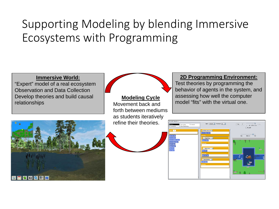## Supporting Modeling by blending Immersive Ecosystems with Programming

#### **Immersive World:**

"Expert" model of a real ecosystem Observation and Data Collection Develop theories and build causal relationships

**Modeling Cycle** assessing now well the compute<br>model "fits" with the virtual one. Movement back and forth between mediums as students iteratively refine their theories.



terri | teneri | = Prordure | gn | <mark>r</mark>

**2D Programming Environment:** 

behavior of agents in the system, and

Test theories by programming the

assessing how well the computer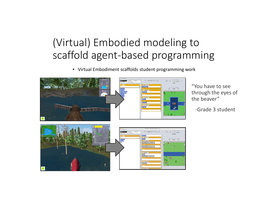### (Virtual) Embodied modeling to scaffold agent-based programming

• Virtual Embodiment scaffolds student programming work

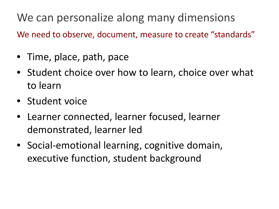We can personalize along many dimensions

We need to observe, document, measure to create "standards"

- Time, place, path, pace
- Student choice over how to learn, choice over what to learn
- Student voice
- Learner connected, learner focused, learner demonstrated, learner led
- Social-emotional learning, cognitive domain, executive function, student background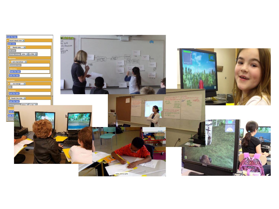